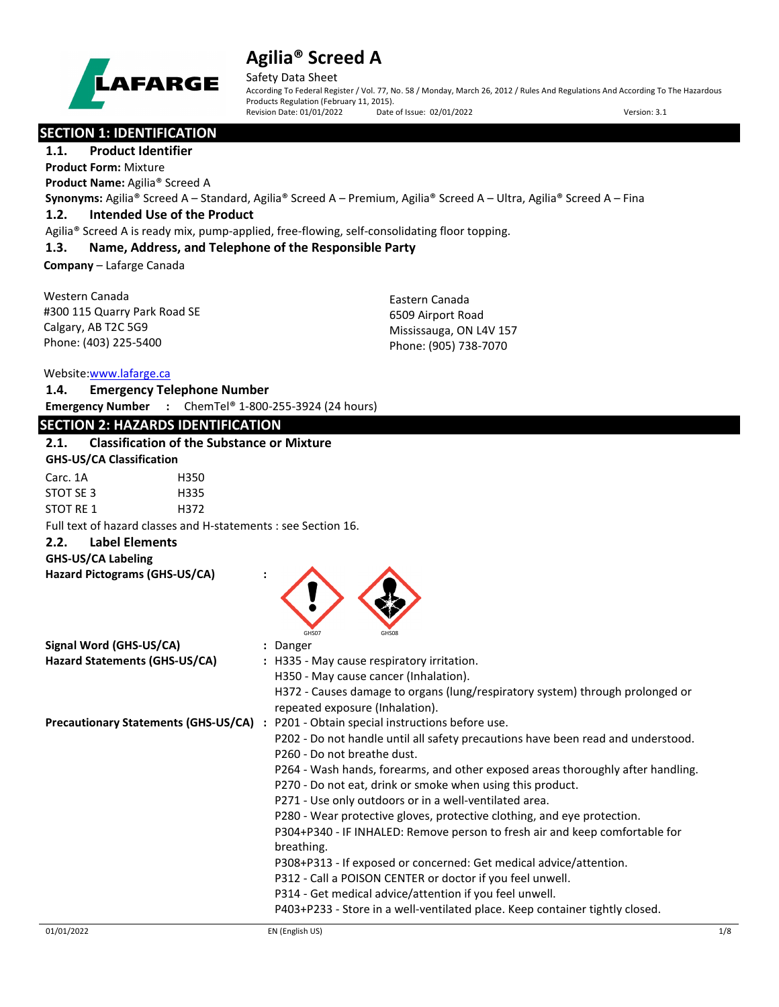

Safety Data Sheet

According To Federal Register / Vol. 77, No. 58 / Monday, March 26, 2012 / Rules And Regulations And According To The Hazardous Products Regulation (February 11, 2015).<br>Revision Date: 01/01/2022 Date of Issue: 02/01/2022 Revision Date: 01/01/2022 Date of Issue: 02/01/2022 Version: 3.1

## **SECTION 1: IDENTIFICATION**

**1.1. Product Identifier Product Form:** Mixture

**Product Name:** Agilia® Screed A

**Synonyms:** Agilia® Screed A – Standard, Agilia® Screed A – Premium, Agilia® Screed A – Ultra, Agilia® Screed A – Fina

### **1.2. Intended Use of the Product**

Agilia® Screed A is ready mix, pump-applied, free-flowing, self-consolidating floor topping.

## **1.3. Name, Address, and Telephone of the Responsible Party**

**Company** – Lafarge Canada

| Western Canada               | Eastern Canada          |
|------------------------------|-------------------------|
| #300 115 Quarry Park Road SE | 6509 Airport Road       |
| Calgary, AB T2C 5G9          | Mississauga, ON L4V 157 |
| Phone: (403) 225-5400        | Phone: (905) 738-7070   |
|                              |                         |

### Website[:www.lafarge.ca](file://leon/customers/CUSTOMERS/Lafarge_North_America_Inc/Projects/Authoring_20180316/Batch_Folder/B_Draft_SDS/MS_Word_Files/www.lafarge.ca)

|                                           | <b>WEDSILE.WWW.IQIQIKE.LQ</b>   |                                                                          |  |
|-------------------------------------------|---------------------------------|--------------------------------------------------------------------------|--|
| 1.4.                                      |                                 | <b>Emergency Telephone Number</b>                                        |  |
|                                           |                                 | <b>Emergency Number</b> : ChemTel <sup>®</sup> 1-800-255-3924 (24 hours) |  |
|                                           |                                 | <b>SECTION 2: HAZARDS IDENTIFICATION</b>                                 |  |
| 2.1.                                      |                                 | <b>Classification of the Substance or Mixture</b>                        |  |
|                                           | <b>GHS-US/CA Classification</b> |                                                                          |  |
| $\sim$ $\sim$ $\sim$ $\sim$ $\sim$ $\sim$ |                                 |                                                                          |  |

| Carc. 1A  | H350 |
|-----------|------|
| STOT SE 3 | H335 |
| STOT RE 1 | H372 |

Full text of hazard classes and H-statements : see Section 16.

**2.2. Label Elements**

| <b>GHS-US/CA Labeling</b>     |  |
|-------------------------------|--|
| Hazard Pictograms (GHS-US/CA) |  |



| Signal Word (GHS-US/CA)                     | : Danger                                                                                                         |
|---------------------------------------------|------------------------------------------------------------------------------------------------------------------|
| Hazard Statements (GHS-US/CA)               | : H335 - May cause respiratory irritation.                                                                       |
|                                             | H350 - May cause cancer (Inhalation).                                                                            |
|                                             | H372 - Causes damage to organs (lung/respiratory system) through prolonged or<br>repeated exposure (Inhalation). |
| <b>Precautionary Statements (GHS-US/CA)</b> | : P201 - Obtain special instructions before use.                                                                 |
|                                             | P202 - Do not handle until all safety precautions have been read and understood.                                 |
|                                             | P260 - Do not breathe dust.                                                                                      |
|                                             | P264 - Wash hands, forearms, and other exposed areas thoroughly after handling.                                  |
|                                             | P270 - Do not eat, drink or smoke when using this product.                                                       |
|                                             | P271 - Use only outdoors or in a well-ventilated area.                                                           |
|                                             | P280 - Wear protective gloves, protective clothing, and eye protection.                                          |
|                                             | P304+P340 - IF INHALED: Remove person to fresh air and keep comfortable for                                      |
|                                             | breathing.                                                                                                       |
|                                             | P308+P313 - If exposed or concerned: Get medical advice/attention.                                               |
|                                             | P312 - Call a POISON CENTER or doctor if you feel unwell.                                                        |
|                                             | P314 - Get medical advice/attention if you feel unwell.                                                          |
|                                             | P403+P233 - Store in a well-ventilated place. Keep container tightly closed.                                     |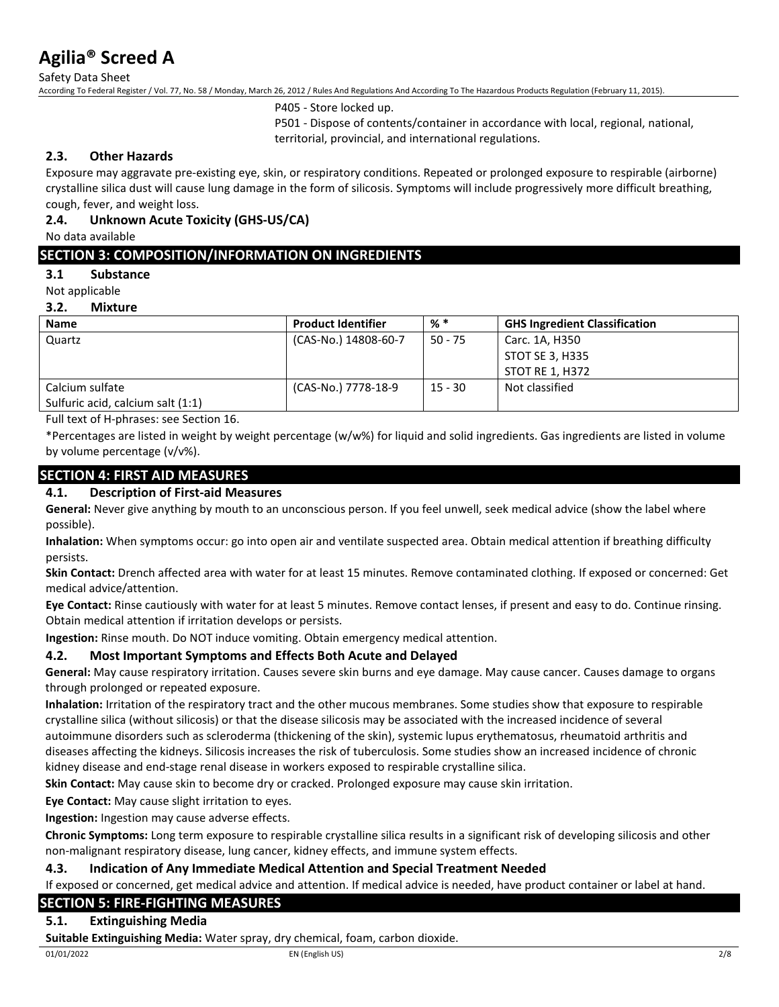Safety Data Sheet

According To Federal Register / Vol. 77, No. 58 / Monday, March 26, 2012 / Rules And Regulations And According To The Hazardous Products Regulation (February 11, 2015).

P405 - Store locked up.

P501 - Dispose of contents/container in accordance with local, regional, national, territorial, provincial, and international regulations.

### **2.3. Other Hazards**

Exposure may aggravate pre-existing eye, skin, or respiratory conditions. Repeated or prolonged exposure to respirable (airborne) crystalline silica dust will cause lung damage in the form of silicosis. Symptoms will include progressively more difficult breathing, cough, fever, and weight loss.

### **2.4. Unknown Acute Toxicity (GHS-US/CA)**

No data available

## **SECTION 3: COMPOSITION/INFORMATION ON INGREDIENTS**

### **3.1 Substance**

Not applicable

### **3.2. Mixture**

| <b>Name</b>                       | <b>Product Identifier</b> | % *       | <b>GHS Ingredient Classification</b> |
|-----------------------------------|---------------------------|-----------|--------------------------------------|
| Quartz                            | (CAS-No.) 14808-60-7      | $50 - 75$ | Carc. 1A, H350                       |
|                                   |                           |           | STOT SE 3, H335                      |
|                                   |                           |           | STOT RE 1, H372                      |
| Calcium sulfate                   | (CAS-No.) 7778-18-9       | $15 - 30$ | Not classified                       |
| Sulfuric acid, calcium salt (1:1) |                           |           |                                      |

Full text of H-phrases: see Section 16.

\*Percentages are listed in weight by weight percentage (w/w%) for liquid and solid ingredients. Gas ingredients are listed in volume by volume percentage (v/v%).

## **SECTION 4: FIRST AID MEASURES**

### **4.1. Description of First-aid Measures**

**General:** Never give anything by mouth to an unconscious person. If you feel unwell, seek medical advice (show the label where possible).

**Inhalation:** When symptoms occur: go into open air and ventilate suspected area. Obtain medical attention if breathing difficulty persists.

**Skin Contact:** Drench affected area with water for at least 15 minutes. Remove contaminated clothing. If exposed or concerned: Get medical advice/attention.

**Eye Contact:** Rinse cautiously with water for at least 5 minutes. Remove contact lenses, if present and easy to do. Continue rinsing. Obtain medical attention if irritation develops or persists.

**Ingestion:** Rinse mouth. Do NOT induce vomiting. Obtain emergency medical attention.

### **4.2. Most Important Symptoms and Effects Both Acute and Delayed**

**General:** May cause respiratory irritation. Causes severe skin burns and eye damage. May cause cancer. Causes damage to organs through prolonged or repeated exposure.

**Inhalation:** Irritation of the respiratory tract and the other mucous membranes. Some studies show that exposure to respirable crystalline silica (without silicosis) or that the disease silicosis may be associated with the increased incidence of several autoimmune disorders such as scleroderma (thickening of the skin), systemic lupus erythematosus, rheumatoid arthritis and diseases affecting the kidneys. Silicosis increases the risk of tuberculosis. Some studies show an increased incidence of chronic kidney disease and end-stage renal disease in workers exposed to respirable crystalline silica.

**Skin Contact:** May cause skin to become dry or cracked. Prolonged exposure may cause skin irritation.

**Eye Contact:** May cause slight irritation to eyes.

**Ingestion:** Ingestion may cause adverse effects.

**Chronic Symptoms:** Long term exposure to respirable crystalline silica results in a significant risk of developing silicosis and other non-malignant respiratory disease, lung cancer, kidney effects, and immune system effects.

### **4.3. Indication of Any Immediate Medical Attention and Special Treatment Needed**

If exposed or concerned, get medical advice and attention. If medical advice is needed, have product container or label at hand.

## **SECTION 5: FIRE-FIGHTING MEASURES**

### **5.1. Extinguishing Media**

**Suitable Extinguishing Media:** Water spray, dry chemical, foam, carbon dioxide.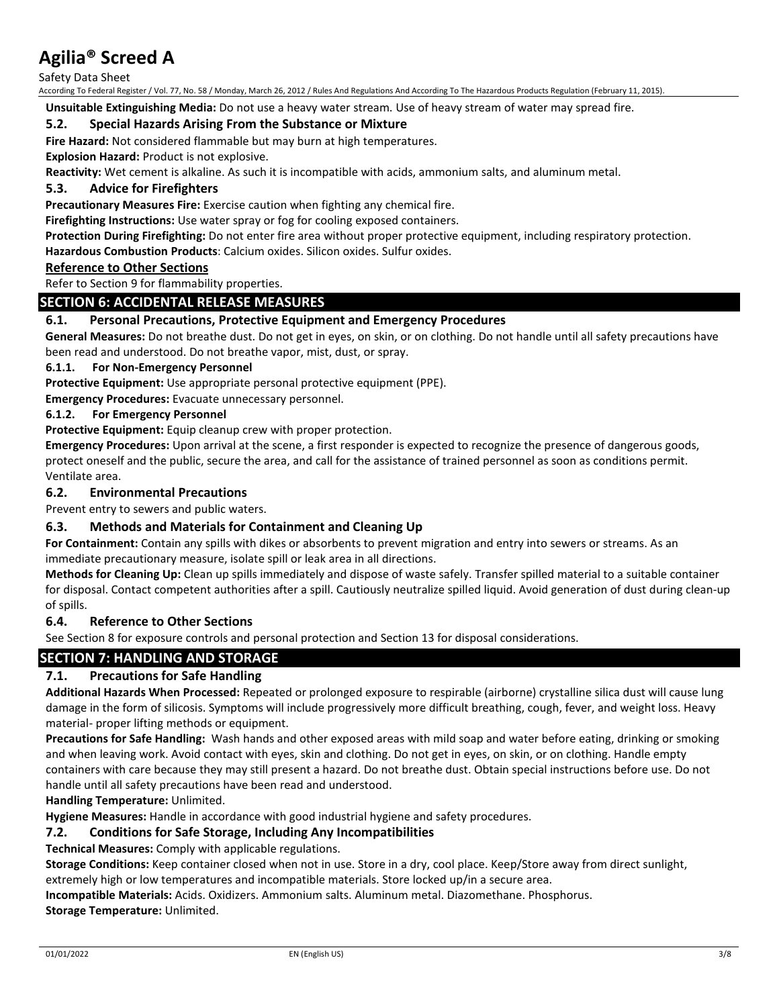Safety Data Sheet

According To Federal Register / Vol. 77, No. 58 / Monday, March 26, 2012 / Rules And Regulations And According To The Hazardous Products Regulation (February 11, 2015).

**Unsuitable Extinguishing Media:** Do not use a heavy water stream. Use of heavy stream of water may spread fire.

### **5.2. Special Hazards Arising From the Substance or Mixture**

**Fire Hazard:** Not considered flammable but may burn at high temperatures.

**Explosion Hazard:** Product is not explosive.

**Reactivity:** Wet cement is alkaline. As such it is incompatible with acids, ammonium salts, and aluminum metal.

### **5.3. Advice for Firefighters**

**Precautionary Measures Fire:** Exercise caution when fighting any chemical fire.

**Firefighting Instructions:** Use water spray or fog for cooling exposed containers.

**Protection During Firefighting:** Do not enter fire area without proper protective equipment, including respiratory protection.

**Hazardous Combustion Products**: Calcium oxides. Silicon oxides. Sulfur oxides.

### **Reference to Other Sections**

Refer to Section 9 for flammability properties.

## **SECTION 6: ACCIDENTAL RELEASE MEASURES**

### **6.1. Personal Precautions, Protective Equipment and Emergency Procedures**

**General Measures:** Do not breathe dust. Do not get in eyes, on skin, or on clothing. Do not handle until all safety precautions have been read and understood. Do not breathe vapor, mist, dust, or spray.

#### **6.1.1. For Non-Emergency Personnel**

**Protective Equipment:** Use appropriate personal protective equipment (PPE).

**Emergency Procedures:** Evacuate unnecessary personnel.

### **6.1.2. For Emergency Personnel**

**Protective Equipment:** Equip cleanup crew with proper protection.

**Emergency Procedures:** Upon arrival at the scene, a first responder is expected to recognize the presence of dangerous goods, protect oneself and the public, secure the area, and call for the assistance of trained personnel as soon as conditions permit. Ventilate area.

### **6.2. Environmental Precautions**

Prevent entry to sewers and public waters.

### **6.3. Methods and Materials for Containment and Cleaning Up**

**For Containment:** Contain any spills with dikes or absorbents to prevent migration and entry into sewers or streams. As an immediate precautionary measure, isolate spill or leak area in all directions.

**Methods for Cleaning Up:** Clean up spills immediately and dispose of waste safely. Transfer spilled material to a suitable container for disposal. Contact competent authorities after a spill. Cautiously neutralize spilled liquid. Avoid generation of dust during clean-up of spills.

### **6.4. Reference to Other Sections**

See Section 8 for exposure controls and personal protection and Section 13 for disposal considerations.

### **SECTION 7: HANDLING AND STORAGE**

### **7.1. Precautions for Safe Handling**

**Additional Hazards When Processed:** Repeated or prolonged exposure to respirable (airborne) crystalline silica dust will cause lung damage in the form of silicosis. Symptoms will include progressively more difficult breathing, cough, fever, and weight loss. Heavy material- proper lifting methods or equipment.

**Precautions for Safe Handling:** Wash hands and other exposed areas with mild soap and water before eating, drinking or smoking and when leaving work. Avoid contact with eyes, skin and clothing. Do not get in eyes, on skin, or on clothing. Handle empty containers with care because they may still present a hazard. Do not breathe dust. Obtain special instructions before use. Do not handle until all safety precautions have been read and understood.

**Handling Temperature:** Unlimited.

**Hygiene Measures:** Handle in accordance with good industrial hygiene and safety procedures.

### **7.2. Conditions for Safe Storage, Including Any Incompatibilities**

**Technical Measures:** Comply with applicable regulations.

**Storage Conditions:** Keep container closed when not in use. Store in a dry, cool place. Keep/Store away from direct sunlight, extremely high or low temperatures and incompatible materials. Store locked up/in a secure area.

**Incompatible Materials:** Acids. Oxidizers. Ammonium salts. Aluminum metal. Diazomethane. Phosphorus.

**Storage Temperature:** Unlimited.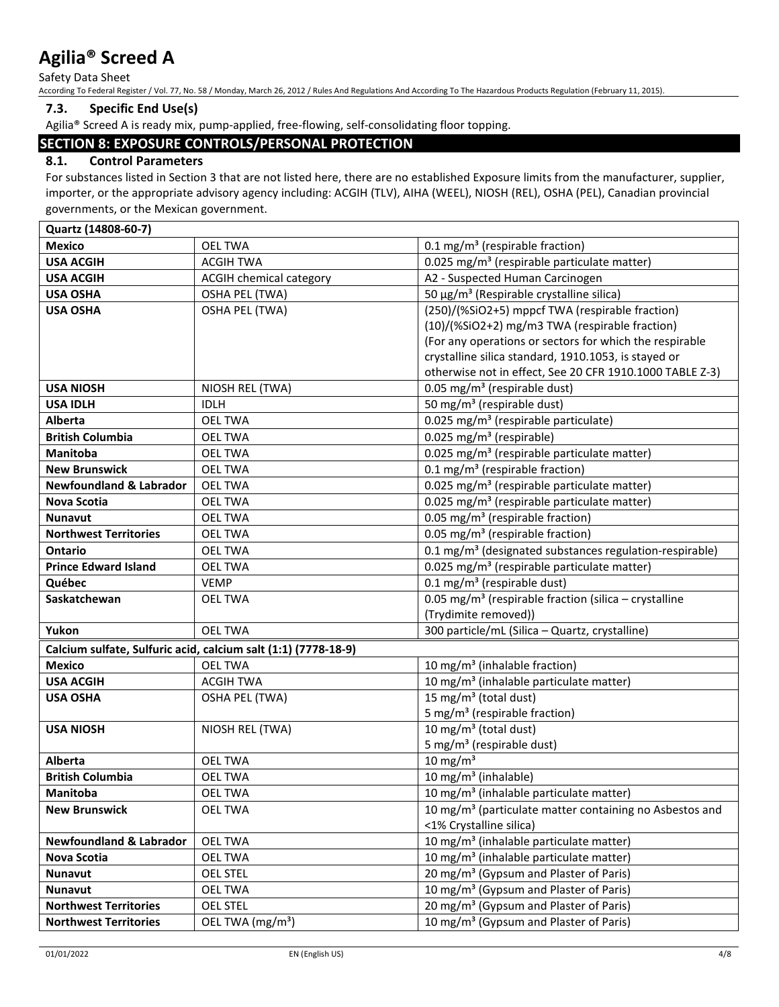Safety Data Sheet

According To Federal Register / Vol. 77, No. 58 / Monday, March 26, 2012 / Rules And Regulations And According To The Hazardous Products Regulation (February 11, 2015).

### **7.3. Specific End Use(s)**

Agilia® Screed A is ready mix, pump-applied, free-flowing, self-consolidating floor topping.

## **SECTION 8: EXPOSURE CONTROLS/PERSONAL PROTECTION**

## **8.1. Control Parameters**

For substances listed in Section 3 that are not listed here, there are no established Exposure limits from the manufacturer, supplier, importer, or the appropriate advisory agency including: ACGIH (TLV), AIHA (WEEL), NIOSH (REL), OSHA (PEL), Canadian provincial governments, or the Mexican government.

**Quartz (14808-60-7) Mexico OEL TWA** 0.1 mg/m<sup>3</sup> (respirable fraction) **USA ACGIH** ACGIH TWA  $(0.025 \text{ mg/m}^3 \text{ (respirable particular matter)})$ **USA ACGIH** ACGIH chemical category **A2** - Suspected Human Carcinogen **USA OSHA OSHA PEL (TWA)** 50 µg/m<sup>3</sup> (Respirable crystalline silica) **USA OSHA OSHA OSHA PEL (TWA)** (250)/(%SiO2+5) mppcf TWA (respirable fraction) (10)/(%SiO2+2) mg/m3 TWA (respirable fraction) (For any operations or sectors for which the respirable crystalline silica standard, 1910.1053, is stayed or otherwise not in effect, See 20 CFR 1910.1000 TABLE Z-3) USA NIOSH **NIOSH REL (TWA)** 0.05 mg/m<sup>3</sup> (respirable dust) USA IDLH **IDLH IDLH** 50 mg/m<sup>3</sup> (respirable dust) **Alberta OEL TWA** 0.025 mg/m<sup>3</sup> (respirable particulate) **British Columbia DEL TWA** 0.025 mg/m<sup>3</sup> (respirable) **Manitoba OEL TWA** 0.025 mg/m<sup>3</sup> (respirable particulate matter) **New Brunswick OEL TWA** 1 0.1 mg/m<sup>3</sup> (respirable fraction) **Newfoundland & Labrador** | OEL TWA  $\vert$  0.025 mg/m<sup>3</sup> (respirable particulate matter) **Nova Scotia OEL TWA** 1 **OUL TWA** 10.025 mg/m<sup>3</sup> (respirable particulate matter) **Nunavut OEL TWA** 0.05 mg/m<sup>3</sup> (respirable fraction) **Northwest Territories** OEL TWA 0.05 mg/m³ (respirable fraction) **ORTARIO CONSIDENT OF LITTUA CONSIDENT CONTACT ACCORDING (DESCALD)** 0.1 mg/m<sup>3</sup> (designated substances regulation-respirable) **Prince Edward Island OEL TWA** 0.025 mg/m<sup>3</sup> (respirable particulate matter) **Québec** VEMP  $\vert$  VEMP  $\vert$  0.1 mg/m<sup>3</sup> (respirable dust) **Saskatchewan OEL TWA** 10.05 mg/m<sup>3</sup> (respirable fraction (silica – crystalline (Trydimite removed)) **Yukon** OEL TWA 300 particle/mL (Silica – Quartz, crystalline) **Calcium sulfate, Sulfuric acid, calcium salt (1:1) (7778-18-9) Mexico**  $\vert$  OEL TWA  $\vert$  10 mg/m<sup>3</sup> (inhalable fraction) **USA ACGIH** ACGIH TWA 10 mg/m<sup>3</sup> (inhalable particulate matter) **USA OSHA OSHA OSHA PEL (TWA)** 15 mg/m<sup>3</sup> (total dust) 5 mg/m³ (respirable fraction) **USA NIOSH NIOSH REL (TWA)** 10 mg/m<sup>3</sup> (total dust) 5 mg/ $m<sup>3</sup>$  (respirable dust) Alberta  $\vert$  OEL TWA  $\vert$  10 mg/m<sup>3</sup> **British Columbia DEL TWA** 10 mg/m<sup>3</sup> (inhalable) **Manitoba** 10 mg/m<sup>3</sup> (inhalable particulate matter) **New Brunswick OEL TWA** 10 mg/m<sup>3</sup> (particulate matter containing no Asbestos and <1% Crystalline silica) **Newfoundland & Labrador** | OEL TWA 10 mg/m<sup>3</sup> (inhalable particulate matter) **Nova Scotia OEL TWA** 10 mg/m<sup>3</sup> (inhalable particulate matter) **Nunavut OEL STEL 20 mg/m<sup>3</sup> (Gypsum and Plaster of Paris) Nunavut** 10 mg/m<sup>3</sup> (Gypsum and Plaster of Paris) **Northwest Territories** | OEL STEL | 20 mg/m<sup>3</sup> (Gypsum and Plaster of Paris) **Northwest Territories** | OEL TWA (mg/m<sup>3</sup>) 10 mg/m<sup>3</sup> (Gypsum and Plaster of Paris)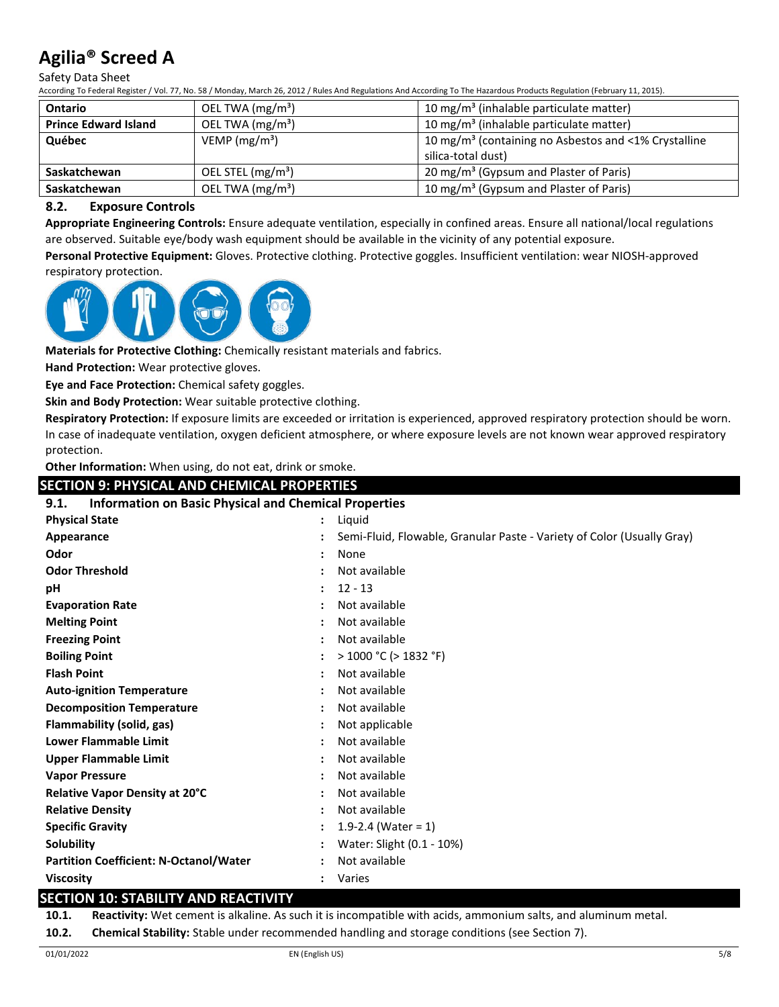Safety Data Sheet

According To Federal Register / Vol. 77, No. 58 / Monday, March 26, 2012 / Rules And Regulations And According To The Hazardous Products Regulation (February 11, 2015).

| <b>Ontario</b>              | OEL TWA $(mg/m3)$             | 10 mg/m <sup>3</sup> (inhalable particulate matter)                                    |
|-----------------------------|-------------------------------|----------------------------------------------------------------------------------------|
| <b>Prince Edward Island</b> | OEL TWA (mg/m <sup>3</sup> )  | 10 mg/m <sup>3</sup> (inhalable particulate matter)                                    |
| Québec                      | VEMP ( $mg/m3$ )              | 10 mg/m <sup>3</sup> (containing no Asbestos and <1% Crystalline<br>silica-total dust) |
| Saskatchewan                | OEL STEL (mg/m <sup>3</sup> ) | 20 mg/m <sup>3</sup> (Gypsum and Plaster of Paris)                                     |
| Saskatchewan                | OEL TWA (mg/m <sup>3</sup> )  | 10 mg/m <sup>3</sup> (Gypsum and Plaster of Paris)                                     |

### **8.2. Exposure Controls**

**Appropriate Engineering Controls:** Ensure adequate ventilation, especially in confined areas. Ensure all national/local regulations are observed. Suitable eye/body wash equipment should be available in the vicinity of any potential exposure.

**Personal Protective Equipment:** Gloves. Protective clothing. Protective goggles. Insufficient ventilation: wear NIOSH-approved respiratory protection.



**Materials for Protective Clothing:** Chemically resistant materials and fabrics.

**Hand Protection:** Wear protective gloves.

**Eye and Face Protection:** Chemical safety goggles.

**Skin and Body Protection:** Wear suitable protective clothing.

**Respiratory Protection:** If exposure limits are exceeded or irritation is experienced, approved respiratory protection should be worn. In case of inadequate ventilation, oxygen deficient atmosphere, or where exposure levels are not known wear approved respiratory protection.

**Other Information:** When using, do not eat, drink or smoke.

| <b>SECTION 9: PHYSICAL AND CHEMICAL PROPERTIES</b>                   |  |                                                                        |  |
|----------------------------------------------------------------------|--|------------------------------------------------------------------------|--|
| <b>Information on Basic Physical and Chemical Properties</b><br>9.1. |  |                                                                        |  |
| <b>Physical State</b>                                                |  | Liquid                                                                 |  |
| Appearance                                                           |  | Semi-Fluid, Flowable, Granular Paste - Variety of Color (Usually Gray) |  |
| Odor                                                                 |  | None                                                                   |  |
| <b>Odor Threshold</b>                                                |  | Not available                                                          |  |
| рH                                                                   |  | $12 - 13$                                                              |  |
| <b>Evaporation Rate</b>                                              |  | Not available                                                          |  |
| <b>Melting Point</b>                                                 |  | Not available                                                          |  |
| <b>Freezing Point</b>                                                |  | Not available                                                          |  |
| <b>Boiling Point</b>                                                 |  | $>$ 1000 °C ( $>$ 1832 °F)                                             |  |
| <b>Flash Point</b>                                                   |  | Not available                                                          |  |
| <b>Auto-ignition Temperature</b>                                     |  | Not available                                                          |  |
| <b>Decomposition Temperature</b>                                     |  | Not available                                                          |  |
| Flammability (solid, gas)                                            |  | Not applicable                                                         |  |
| <b>Lower Flammable Limit</b>                                         |  | Not available                                                          |  |
| <b>Upper Flammable Limit</b>                                         |  | Not available                                                          |  |
| <b>Vapor Pressure</b>                                                |  | Not available                                                          |  |
| Relative Vapor Density at 20°C                                       |  | Not available                                                          |  |
| <b>Relative Density</b>                                              |  | Not available                                                          |  |
| <b>Specific Gravity</b>                                              |  | 1.9-2.4 (Water = $1$ )                                                 |  |
| <b>Solubility</b>                                                    |  | Water: Slight (0.1 - 10%)                                              |  |
| <b>Partition Coefficient: N-Octanol/Water</b>                        |  | Not available                                                          |  |
| <b>Viscosity</b>                                                     |  | Varies                                                                 |  |
| SECTION 10· STARILITV AND REACTIVITV                                 |  |                                                                        |  |

## **SECTION 10: STABILITY AND REACTIVITY**

**10.1. Reactivity:** Wet cement is alkaline. As such it is incompatible with acids, ammonium salts, and aluminum metal.

**10.2. Chemical Stability:** Stable under recommended handling and storage conditions (see Section 7).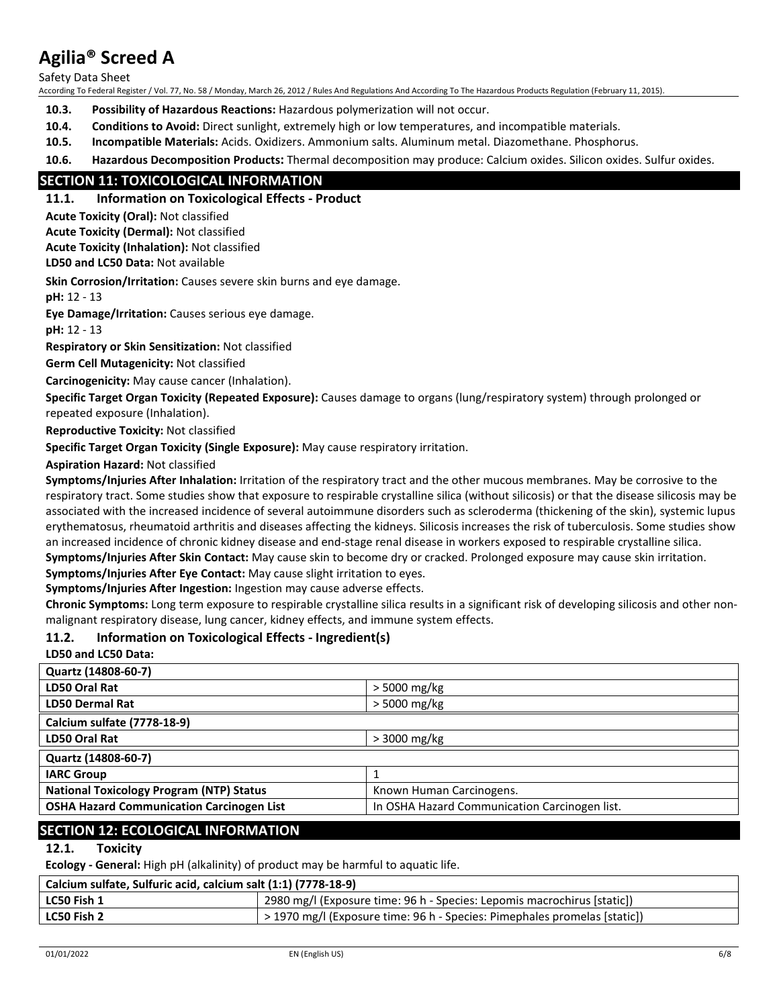Safety Data Sheet

According To Federal Register / Vol. 77, No. 58 / Monday, March 26, 2012 / Rules And Regulations And According To The Hazardous Products Regulation (February 11, 2015).

**10.3. Possibility of Hazardous Reactions:** Hazardous polymerization will not occur.

- **10.4. Conditions to Avoid:** Direct sunlight, extremely high or low temperatures, and incompatible materials.
- **10.5. Incompatible Materials:** Acids. Oxidizers. Ammonium salts. Aluminum metal. Diazomethane. Phosphorus.

**10.6. Hazardous Decomposition Products:** Thermal decomposition may produce: Calcium oxides. Silicon oxides. Sulfur oxides.

## **SECTION 11: TOXICOLOGICAL INFORMATION**

### **11.1. Information on Toxicological Effects - Product**

**Acute Toxicity (Oral):** Not classified

**Acute Toxicity (Dermal):** Not classified

**Acute Toxicity (Inhalation):** Not classified

**LD50 and LC50 Data:** Not available

**Skin Corrosion/Irritation:** Causes severe skin burns and eye damage.

**pH:** 12 - 13

**Eye Damage/Irritation:** Causes serious eye damage.

**pH:** 12 - 13

**Respiratory or Skin Sensitization:** Not classified

**Germ Cell Mutagenicity:** Not classified

**Carcinogenicity:** May cause cancer (Inhalation).

**Specific Target Organ Toxicity (Repeated Exposure):** Causes damage to organs (lung/respiratory system) through prolonged or repeated exposure (Inhalation).

**Reproductive Toxicity:** Not classified

**Specific Target Organ Toxicity (Single Exposure):** May cause respiratory irritation.

**Aspiration Hazard:** Not classified

**Symptoms/Injuries After Inhalation:** Irritation of the respiratory tract and the other mucous membranes. May be corrosive to the respiratory tract. Some studies show that exposure to respirable crystalline silica (without silicosis) or that the disease silicosis may be associated with the increased incidence of several autoimmune disorders such as scleroderma (thickening of the skin), systemic lupus erythematosus, rheumatoid arthritis and diseases affecting the kidneys. Silicosis increases the risk of tuberculosis. Some studies show an increased incidence of chronic kidney disease and end-stage renal disease in workers exposed to respirable crystalline silica. **Symptoms/Injuries After Skin Contact:** May cause skin to become dry or cracked. Prolonged exposure may cause skin irritation.

**Symptoms/Injuries After Eye Contact:** May cause slight irritation to eyes.

**Symptoms/Injuries After Ingestion:** Ingestion may cause adverse effects.

**Chronic Symptoms:** Long term exposure to respirable crystalline silica results in a significant risk of developing silicosis and other nonmalignant respiratory disease, lung cancer, kidney effects, and immune system effects.

### **11.2. Information on Toxicological Effects - Ingredient(s)**

**LD50 and LC50 Data:**

| Quartz (14808-60-7)                              |                                               |
|--------------------------------------------------|-----------------------------------------------|
| LD50 Oral Rat                                    | > 5000 mg/kg                                  |
| <b>LD50 Dermal Rat</b>                           | > 5000 mg/kg                                  |
| Calcium sulfate (7778-18-9)                      |                                               |
| LD50 Oral Rat                                    | $>3000$ mg/kg                                 |
| Quartz (14808-60-7)                              |                                               |
| <b>IARC Group</b>                                |                                               |
| <b>National Toxicology Program (NTP) Status</b>  | Known Human Carcinogens.                      |
| <b>OSHA Hazard Communication Carcinogen List</b> | In OSHA Hazard Communication Carcinogen list. |
|                                                  |                                               |

## **SECTION 12: ECOLOGICAL INFORMATION**

### **12.1. Toxicity**

**Ecology - General:** High pH (alkalinity) of product may be harmful to aquatic life.

| Calcium sulfate, Sulfuric acid, calcium salt (1:1) (7778-18-9) |                                                                           |  |
|----------------------------------------------------------------|---------------------------------------------------------------------------|--|
| LC50 Fish 1                                                    | 2980 mg/l (Exposure time: 96 h - Species: Lepomis macrochirus [static])   |  |
| LC50 Fish 2                                                    | > 1970 mg/l (Exposure time: 96 h - Species: Pimephales promelas [static]) |  |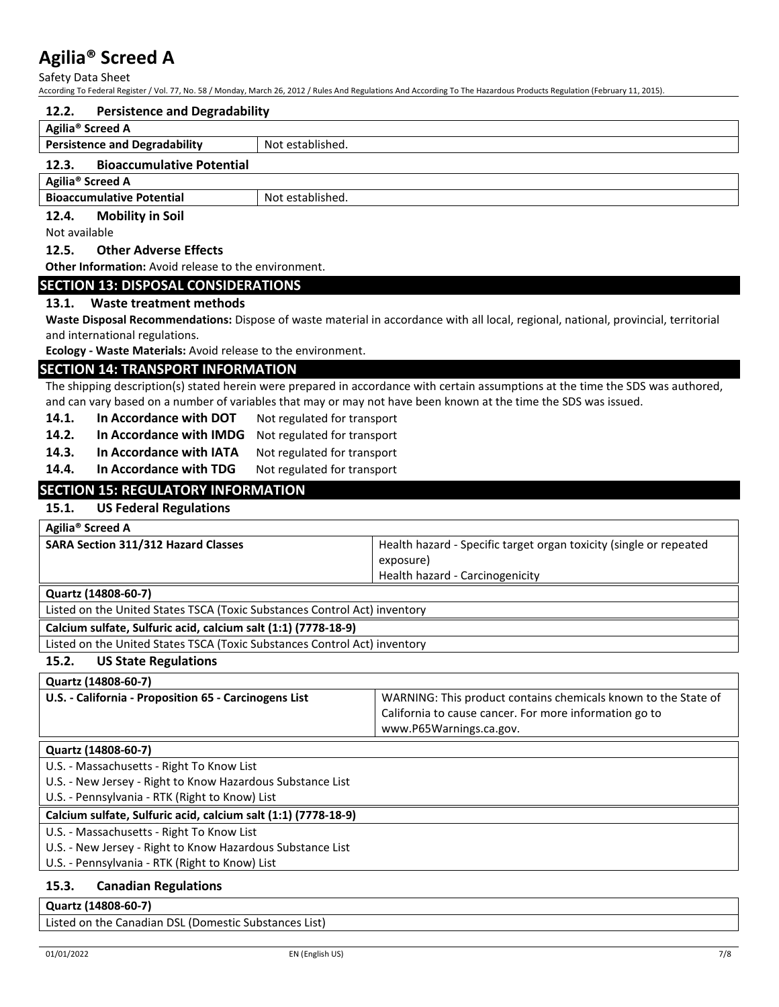Safety Data Sheet

According To Federal Register / Vol. 77, No. 58 / Monday, March 26, 2012 / Rules And Regulations And According To The Hazardous Products Regulation (February 11, 2015).

#### **12.2. Persistence and Degradability**

| -----<br>$\sim$ . Crossecrice and begraadwinty |                  |  |  |
|------------------------------------------------|------------------|--|--|
| Agilia <sup>®</sup> Screed A                   |                  |  |  |
| <b>Persistence and Degradability</b>           | Not established. |  |  |
| <b>Bioaccumulative Potential</b><br>12.3.      |                  |  |  |
| Agilia <sup>®</sup> Screed A                   |                  |  |  |
| <b>Bioaccumulative Potential</b>               | Not established. |  |  |
| <b>Mobility in Soil</b><br>12.4.               |                  |  |  |

Not available

**12.5. Other Adverse Effects**

**Other Information:** Avoid release to the environment.

### **SECTION 13: DISPOSAL CONSIDERATIONS**

### **13.1. Waste treatment methods**

**Waste Disposal Recommendations:** Dispose of waste material in accordance with all local, regional, national, provincial, territorial and international regulations.

**Ecology - Waste Materials:** Avoid release to the environment.

### **SECTION 14: TRANSPORT INFORMATION**

The shipping description(s) stated herein were prepared in accordance with certain assumptions at the time the SDS was authored, and can vary based on a number of variables that may or may not have been known at the time the SDS was issued.

- 14.1. In Accordance with DOT Not regulated for transport
- **14.2. In Accordance with IMDG** Not regulated for transport
- 14.3. In Accordance with IATA Not regulated for transport
- 14.4. In Accordance with TDG Not regulated for transport

## **SECTION 15: REGULATORY INFORMATION**

## **15.1. US Federal Regulations**

|  | Agilia <sup>®</sup> Screed A |
|--|------------------------------|
|--|------------------------------|

| <b>SARA Section 311/312 Hazard Classes</b> | Health hazard - Specific target organ toxicity (single or repeated |
|--------------------------------------------|--------------------------------------------------------------------|
|                                            | exposure)                                                          |
|                                            | Health hazard - Carcinogenicity                                    |
| Quartz (14808-60-7)                        |                                                                    |

Listed on the United States TSCA (Toxic Substances Control Act) inventory

**Calcium sulfate, Sulfuric acid, calcium salt (1:1) (7778-18-9)**

Listed on the United States TSCA (Toxic Substances Control Act) inventory

### **15.2. US State Regulations**

| Quartz (14808-60-7)                                   |                                                                |
|-------------------------------------------------------|----------------------------------------------------------------|
| U.S. - California - Proposition 65 - Carcinogens List | WARNING: This product contains chemicals known to the State of |
|                                                       | California to cause cancer. For more information go to         |
|                                                       | www.P65Warnings.ca.gov.                                        |

### **Quartz (14808-60-7)**

U.S. - Massachusetts - Right To Know List

U.S. - New Jersey - Right to Know Hazardous Substance List

U.S. - Pennsylvania - RTK (Right to Know) List

#### **Calcium sulfate, Sulfuric acid, calcium salt (1:1) (7778-18-9)**

U.S. - Massachusetts - Right To Know List

U.S. - New Jersey - Right to Know Hazardous Substance List

U.S. - Pennsylvania - RTK (Right to Know) List

### **15.3. Canadian Regulations**

## **Quartz (14808-60-7)** Listed on the Canadian DSL (Domestic Substances List)